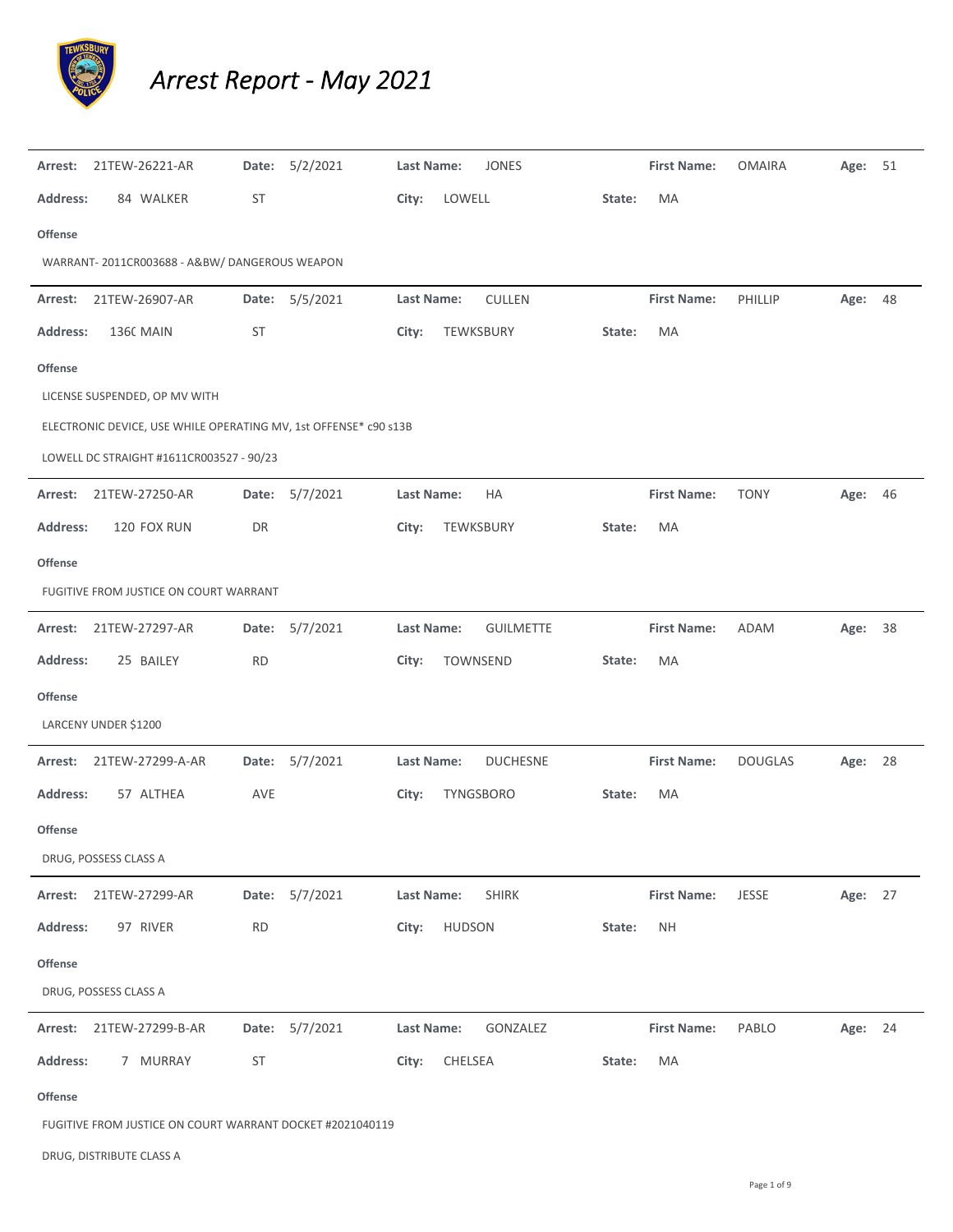

## *Arrest Report ‐ May 2021*

|                 | Arrest: 21TEW-26221-AR                                           |           | Date: 5/2/2021 | <b>Last Name:</b><br><b>JONES</b><br><b>First Name:</b><br><b>OMAIRA</b>     | Age: 51 |  |
|-----------------|------------------------------------------------------------------|-----------|----------------|------------------------------------------------------------------------------|---------|--|
| <b>Address:</b> | 84 WALKER                                                        | ST        |                | City:<br>LOWELL<br>MA<br>State:                                              |         |  |
| Offense         |                                                                  |           |                |                                                                              |         |  |
|                 | WARRANT-2011CR003688 - A&BW/DANGEROUS WEAPON                     |           |                |                                                                              |         |  |
| Arrest:         | 21TEW-26907-AR                                                   |           | Date: 5/5/2021 | <b>Last Name:</b><br><b>CULLEN</b><br><b>First Name:</b><br>PHILLIP          | Age: 48 |  |
| <b>Address:</b> | <b>1360 MAIN</b>                                                 | ST        |                | TEWKSBURY<br>MA<br>City:<br>State:                                           |         |  |
| <b>Offense</b>  |                                                                  |           |                |                                                                              |         |  |
|                 | LICENSE SUSPENDED, OP MV WITH                                    |           |                |                                                                              |         |  |
|                 | ELECTRONIC DEVICE, USE WHILE OPERATING MV, 1st OFFENSE* c90 s13B |           |                |                                                                              |         |  |
|                 | LOWELL DC STRAIGHT #1611CR003527 - 90/23                         |           |                |                                                                              |         |  |
| Arrest:         | 21TEW-27250-AR                                                   |           | Date: 5/7/2021 | Last Name:<br>НA<br><b>First Name:</b><br><b>TONY</b>                        | Age: 46 |  |
| <b>Address:</b> | 120 FOX RUN                                                      | DR        |                | City:<br>TEWKSBURY<br>State:<br>MA                                           |         |  |
| <b>Offense</b>  |                                                                  |           |                |                                                                              |         |  |
|                 | FUGITIVE FROM JUSTICE ON COURT WARRANT                           |           |                |                                                                              |         |  |
|                 | Arrest: 21TEW-27297-AR                                           | Date:     | 5/7/2021       | Last Name:<br><b>GUILMETTE</b><br><b>First Name:</b><br>ADAM                 | Age: 38 |  |
| <b>Address:</b> | 25 BAILEY                                                        | <b>RD</b> |                | City:<br>TOWNSEND<br>MA<br>State:                                            |         |  |
| <b>Offense</b>  |                                                                  |           |                |                                                                              |         |  |
|                 | LARCENY UNDER \$1200                                             |           |                |                                                                              |         |  |
|                 | Arrest: 21TEW-27299-A-AR                                         |           | Date: 5/7/2021 | <b>Last Name:</b><br><b>DUCHESNE</b><br><b>First Name:</b><br><b>DOUGLAS</b> | Age: 28 |  |
| <b>Address:</b> | 57 ALTHEA                                                        | AVE       |                | TYNGSBORO<br>MA<br>City:<br>State:                                           |         |  |
| <b>Offense</b>  |                                                                  |           |                |                                                                              |         |  |
|                 | DRUG, POSSESS CLASS A                                            |           |                |                                                                              |         |  |
| Arrest:         | 21TEW-27299-AR                                                   |           | Date: 5/7/2021 | Last Name:<br><b>SHIRK</b><br><b>First Name:</b><br>JESSE                    | Age: 27 |  |
| Address:        | 97 RIVER                                                         | <b>RD</b> |                | <b>HUDSON</b><br><b>NH</b><br>City:<br>State:                                |         |  |
| Offense         |                                                                  |           |                |                                                                              |         |  |
|                 | DRUG, POSSESS CLASS A                                            |           |                |                                                                              |         |  |
|                 | Arrest: 21TEW-27299-B-AR                                         |           | Date: 5/7/2021 | Last Name:<br>GONZALEZ<br><b>First Name:</b><br>PABLO                        | Age: 24 |  |
| <b>Address:</b> | 7 MURRAY                                                         | <b>ST</b> |                | CHELSEA<br>City:<br>MA<br>State:                                             |         |  |
| <b>Offense</b>  |                                                                  |           |                |                                                                              |         |  |

FUGITIVE FROM JUSTICE ON COURT WARRANT DOCKET #2021040119

DRUG, DISTRIBUTE CLASS A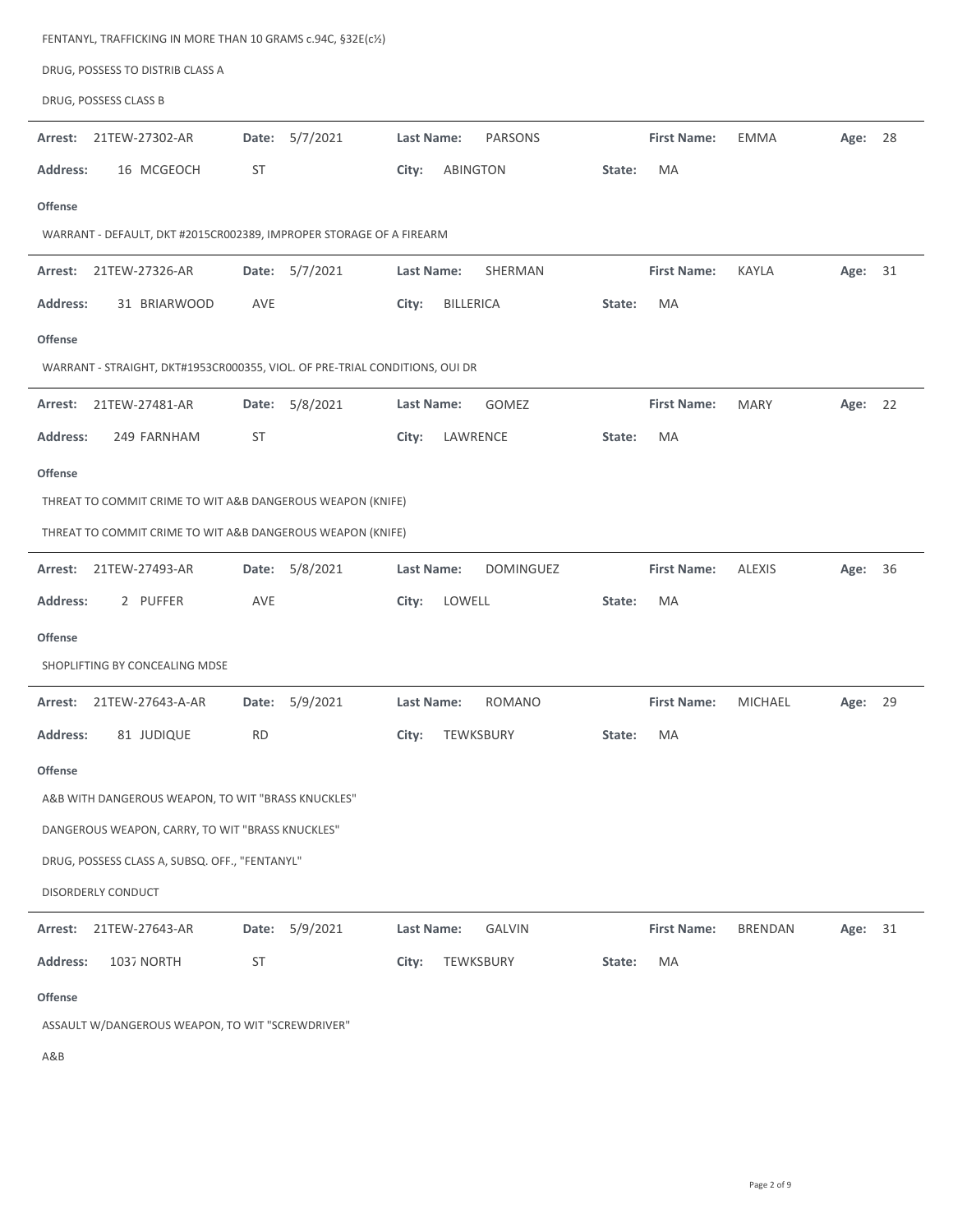| FENTANYL, TRAFFICKING IN MORE THAN 10 GRAMS c.94C, §32E(c1/2)               |                |                                     |                                                 |
|-----------------------------------------------------------------------------|----------------|-------------------------------------|-------------------------------------------------|
| DRUG, POSSESS TO DISTRIB CLASS A                                            |                |                                     |                                                 |
| DRUG, POSSESS CLASS B                                                       |                |                                     |                                                 |
| Arrest:<br>21TEW-27302-AR                                                   | Date: 5/7/2021 | Last Name:<br><b>PARSONS</b>        | <b>First Name:</b><br><b>EMMA</b><br>Age: 28    |
| <b>Address:</b><br>16 MCGEOCH                                               | <b>ST</b>      | City:<br><b>ABINGTON</b><br>State:  | MA                                              |
| <b>Offense</b>                                                              |                |                                     |                                                 |
| WARRANT - DEFAULT, DKT #2015CR002389, IMPROPER STORAGE OF A FIREARM         |                |                                     |                                                 |
| 21TEW-27326-AR<br>Arrest:                                                   | Date: 5/7/2021 | Last Name:<br>SHERMAN               | <b>First Name:</b><br><b>KAYLA</b><br>Age: 31   |
| <b>Address:</b><br>31 BRIARWOOD                                             | AVE            | <b>BILLERICA</b><br>City:<br>State: | <b>MA</b>                                       |
| <b>Offense</b>                                                              |                |                                     |                                                 |
| WARRANT - STRAIGHT, DKT#1953CR000355, VIOL. OF PRE-TRIAL CONDITIONS, OUI DR |                |                                     |                                                 |
| 21TEW-27481-AR<br>Arrest:                                                   | Date: 5/8/2021 | <b>Last Name:</b><br>GOMEZ          | <b>First Name:</b><br><b>MARY</b><br>Age: 22    |
| 249 FARNHAM<br>Address:                                                     | ST             | LAWRENCE<br>City:<br>State:         | MA                                              |
| <b>Offense</b>                                                              |                |                                     |                                                 |
| THREAT TO COMMIT CRIME TO WIT A&B DANGEROUS WEAPON (KNIFE)                  |                |                                     |                                                 |
| THREAT TO COMMIT CRIME TO WIT A&B DANGEROUS WEAPON (KNIFE)                  |                |                                     |                                                 |
| Arrest:<br>21TEW-27493-AR                                                   | Date: 5/8/2021 | <b>DOMINGUEZ</b><br>Last Name:      | <b>First Name:</b><br><b>ALEXIS</b><br>Age: 36  |
| <b>Address:</b><br>2 PUFFER                                                 | <b>AVE</b>     | LOWELL<br>City:<br>State:           | MA                                              |
| <b>Offense</b>                                                              |                |                                     |                                                 |
| SHOPLIFTING BY CONCEALING MDSE                                              |                |                                     |                                                 |
| 21TEW-27643-A-AR<br>Arrest:                                                 | Date: 5/9/2021 | Last Name:<br><b>ROMANO</b>         | <b>First Name:</b><br><b>MICHAEL</b><br>Age: 29 |
| 81 JUDIQUE<br><b>Address:</b>                                               | <b>RD</b>      | TEWKSBURY<br>City:<br>State:        | MA                                              |
| <b>Offense</b>                                                              |                |                                     |                                                 |
| A&B WITH DANGEROUS WEAPON, TO WIT "BRASS KNUCKLES"                          |                |                                     |                                                 |
| DANGEROUS WEAPON, CARRY, TO WIT "BRASS KNUCKLES"                            |                |                                     |                                                 |
| DRUG, POSSESS CLASS A, SUBSQ. OFF., "FENTANYL"                              |                |                                     |                                                 |
| DISORDERLY CONDUCT                                                          |                |                                     |                                                 |
| 21TEW-27643-AR<br>Arrest:                                                   | Date: 5/9/2021 | Last Name:<br><b>GALVIN</b>         | <b>First Name:</b><br><b>BRENDAN</b><br>Age: 31 |
| 1037 NORTH<br><b>Address:</b>                                               | ST             | City:<br>TEWKSBURY<br>State:        | MA                                              |
| <b>Offense</b>                                                              |                |                                     |                                                 |
| ASSAULT W/DANGEROUS WEAPON, TO WIT "SCREWDRIVER"                            |                |                                     |                                                 |
|                                                                             |                |                                     |                                                 |

A&B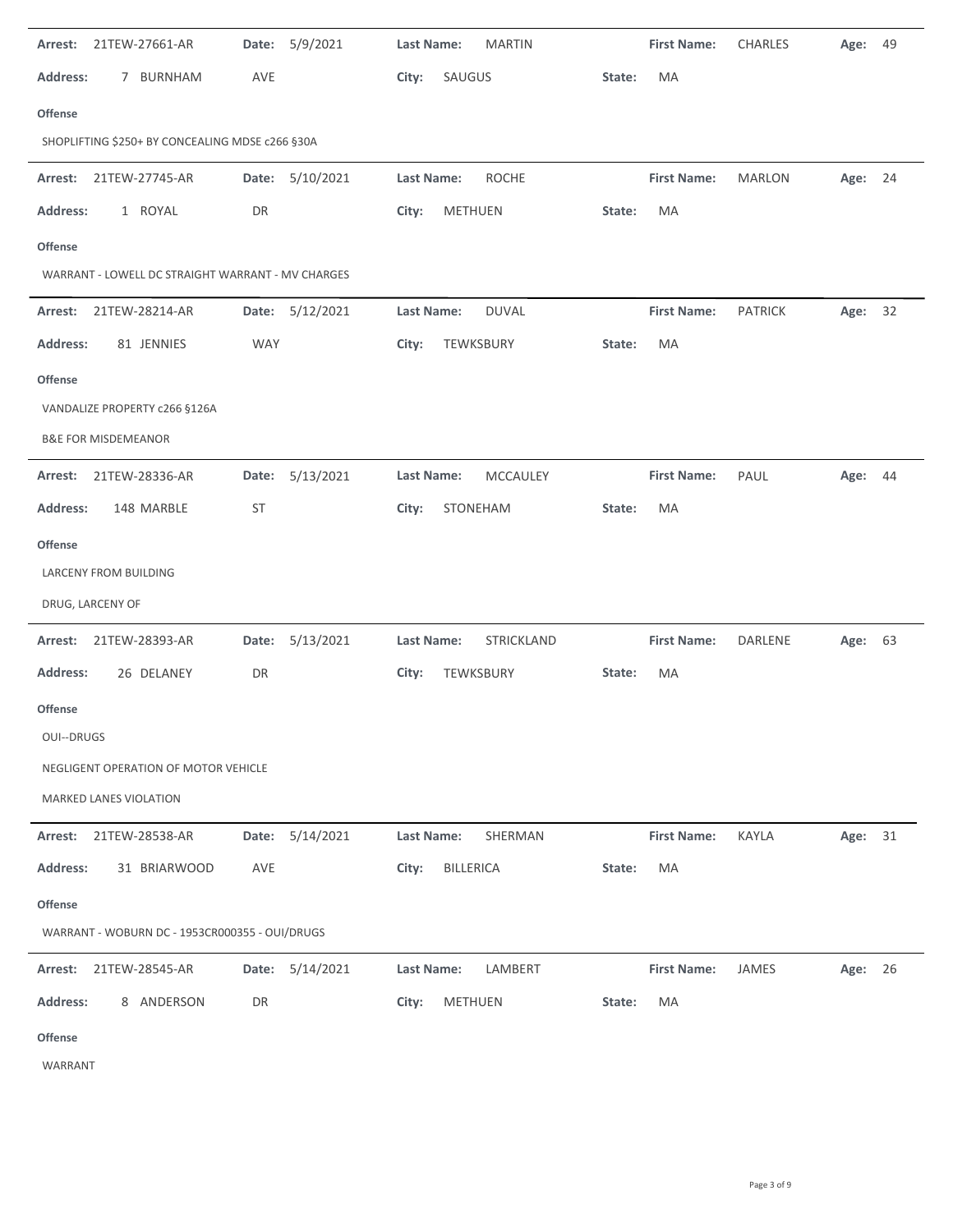| 21TEW-27661-AR<br>Arrest:                         | Date: 5/9/2021     | <b>MARTIN</b><br>Last Name:       | <b>First Name:</b> | <b>CHARLES</b> | 49<br>Age: |
|---------------------------------------------------|--------------------|-----------------------------------|--------------------|----------------|------------|
| 7 BURNHAM<br><b>Address:</b>                      | AVE                | SAUGUS<br>City:                   | MA<br>State:       |                |            |
| Offense                                           |                    |                                   |                    |                |            |
| SHOPLIFTING \$250+ BY CONCEALING MDSE c266 §30A   |                    |                                   |                    |                |            |
| 21TEW-27745-AR<br>Arrest:                         | Date: 5/10/2021    | <b>Last Name:</b><br><b>ROCHE</b> | <b>First Name:</b> | <b>MARLON</b>  | Age: 24    |
| 1 ROYAL<br><b>Address:</b>                        | DR                 | <b>METHUEN</b><br>City:           | MA<br>State:       |                |            |
| <b>Offense</b>                                    |                    |                                   |                    |                |            |
| WARRANT - LOWELL DC STRAIGHT WARRANT - MV CHARGES |                    |                                   |                    |                |            |
| 21TEW-28214-AR<br>Arrest:                         | Date: 5/12/2021    | <b>Last Name:</b><br><b>DUVAL</b> | <b>First Name:</b> | <b>PATRICK</b> | Age: 32    |
| 81 JENNIES<br><b>Address:</b>                     | <b>WAY</b>         | City:<br>TEWKSBURY                | MA<br>State:       |                |            |
| Offense                                           |                    |                                   |                    |                |            |
| VANDALIZE PROPERTY c266 §126A                     |                    |                                   |                    |                |            |
| <b>B&amp;E FOR MISDEMEANOR</b>                    |                    |                                   |                    |                |            |
| Arrest: 21TEW-28336-AR                            | Date: 5/13/2021    | <b>Last Name:</b><br>MCCAULEY     | <b>First Name:</b> | PAUL           | Age: 44    |
| 148 MARBLE<br><b>Address:</b>                     | <b>ST</b>          | STONEHAM<br>City:                 | MA<br>State:       |                |            |
| Offense                                           |                    |                                   |                    |                |            |
| LARCENY FROM BUILDING                             |                    |                                   |                    |                |            |
| DRUG, LARCENY OF                                  |                    |                                   |                    |                |            |
| 21TEW-28393-AR<br>Arrest:                         | 5/13/2021<br>Date: | Last Name:<br>STRICKLAND          | <b>First Name:</b> | DARLENE        | Age: 63    |
| Address:<br>26 DELANEY                            | DR                 | City:<br>TEWKSBURY                | State:<br>MA       |                |            |
| <b>Offense</b>                                    |                    |                                   |                    |                |            |
| <b>OUI--DRUGS</b>                                 |                    |                                   |                    |                |            |
| NEGLIGENT OPERATION OF MOTOR VEHICLE              |                    |                                   |                    |                |            |
| <b>MARKED LANES VIOLATION</b>                     |                    |                                   |                    |                |            |
| 21TEW-28538-AR<br>Arrest:                         | Date: 5/14/2021    | Last Name:<br>SHERMAN             | <b>First Name:</b> | <b>KAYLA</b>   | Age: 31    |
| 31 BRIARWOOD<br><b>Address:</b>                   | AVE                | <b>BILLERICA</b><br>City:         | State:<br>MA       |                |            |
| <b>Offense</b>                                    |                    |                                   |                    |                |            |
| WARRANT - WOBURN DC - 1953CR000355 - OUI/DRUGS    |                    |                                   |                    |                |            |
| 21TEW-28545-AR<br>Arrest:                         | 5/14/2021<br>Date: | <b>Last Name:</b><br>LAMBERT      | <b>First Name:</b> | JAMES          | Age: 26    |
| <b>Address:</b><br>8 ANDERSON                     |                    |                                   |                    |                |            |
|                                                   | DR                 | City:<br><b>METHUEN</b>           | State:<br>MA       |                |            |

WARRANT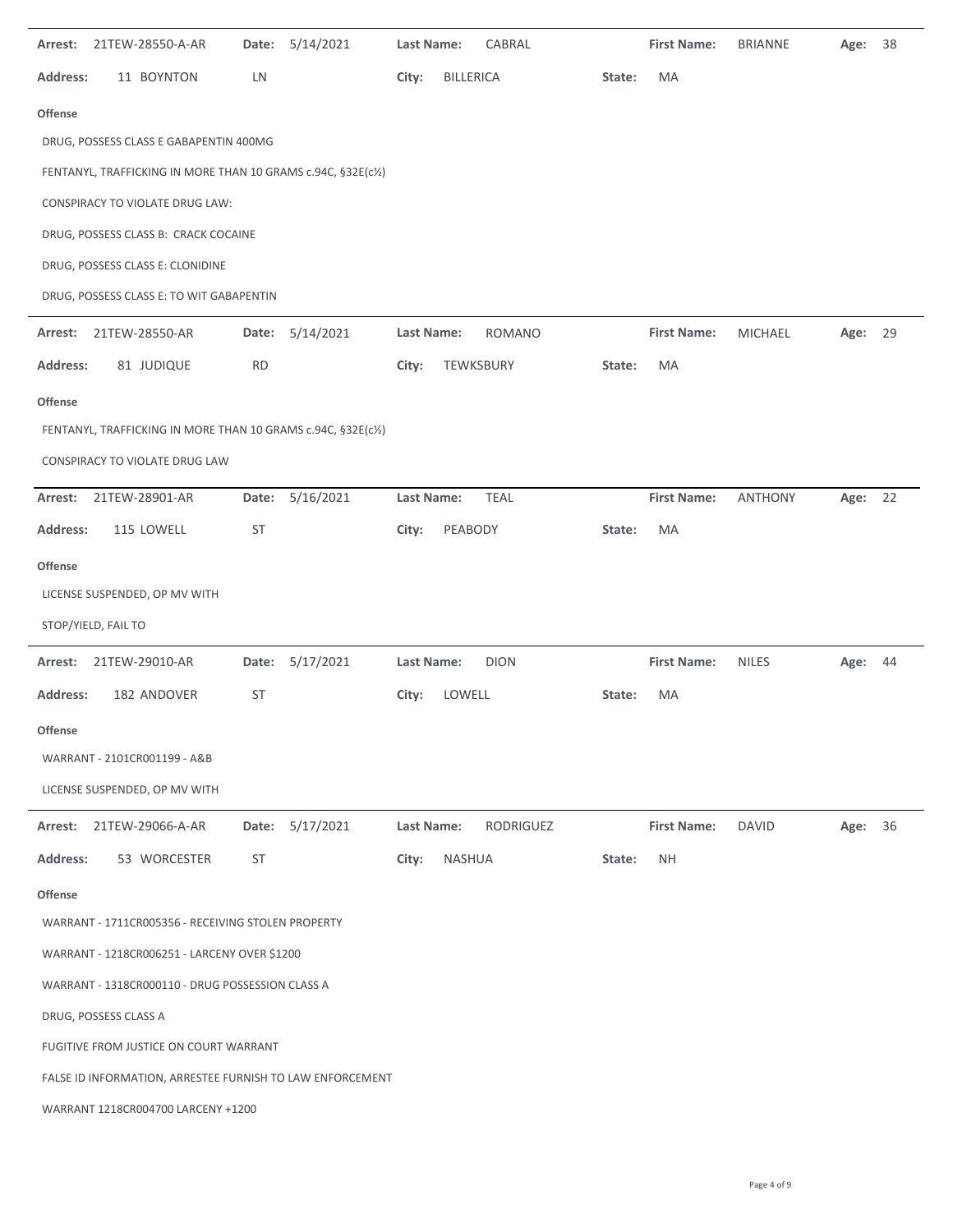| Arrest:                                                   | 21TEW-28550-A-AR                                              | Date:     | 5/14/2021       | Last Name:        | CABRAL           |           |        | <b>First Name:</b> | <b>BRIANNE</b> | Age:    | 38 |
|-----------------------------------------------------------|---------------------------------------------------------------|-----------|-----------------|-------------------|------------------|-----------|--------|--------------------|----------------|---------|----|
| <b>Address:</b>                                           | 11 BOYNTON                                                    | LN        |                 | City:             | <b>BILLERICA</b> |           | State: | МA                 |                |         |    |
| <b>Offense</b>                                            |                                                               |           |                 |                   |                  |           |        |                    |                |         |    |
|                                                           | DRUG, POSSESS CLASS E GABAPENTIN 400MG                        |           |                 |                   |                  |           |        |                    |                |         |    |
|                                                           | FENTANYL, TRAFFICKING IN MORE THAN 10 GRAMS c.94C, §32E(c1/2) |           |                 |                   |                  |           |        |                    |                |         |    |
|                                                           | CONSPIRACY TO VIOLATE DRUG LAW:                               |           |                 |                   |                  |           |        |                    |                |         |    |
|                                                           | DRUG, POSSESS CLASS B: CRACK COCAINE                          |           |                 |                   |                  |           |        |                    |                |         |    |
|                                                           | DRUG, POSSESS CLASS E: CLONIDINE                              |           |                 |                   |                  |           |        |                    |                |         |    |
|                                                           | DRUG, POSSESS CLASS E: TO WIT GABAPENTIN                      |           |                 |                   |                  |           |        |                    |                |         |    |
| Arrest:                                                   | 21TEW-28550-AR                                                | Date:     | 5/14/2021       | Last Name:        | <b>ROMANO</b>    |           |        | <b>First Name:</b> | MICHAEL        | Age:    | 29 |
| <b>Address:</b>                                           | 81 JUDIQUE                                                    | <b>RD</b> |                 | City:             | TEWKSBURY        |           | State: | ΜA                 |                |         |    |
| <b>Offense</b>                                            |                                                               |           |                 |                   |                  |           |        |                    |                |         |    |
|                                                           | FENTANYL, TRAFFICKING IN MORE THAN 10 GRAMS c.94C, §32E(c1/2) |           |                 |                   |                  |           |        |                    |                |         |    |
|                                                           | CONSPIRACY TO VIOLATE DRUG LAW                                |           |                 |                   |                  |           |        |                    |                |         |    |
| Arrest:                                                   | 21TEW-28901-AR                                                | Date:     | 5/16/2021       | Last Name:        | <b>TEAL</b>      |           |        | <b>First Name:</b> | <b>ANTHONY</b> | Age: 22 |    |
| <b>Address:</b>                                           | 115 LOWELL                                                    | <b>ST</b> |                 | City:             | PEABODY          |           | State: | МA                 |                |         |    |
| <b>Offense</b>                                            |                                                               |           |                 |                   |                  |           |        |                    |                |         |    |
|                                                           | LICENSE SUSPENDED, OP MV WITH                                 |           |                 |                   |                  |           |        |                    |                |         |    |
|                                                           | STOP/YIELD, FAIL TO                                           |           |                 |                   |                  |           |        |                    |                |         |    |
| Arrest:                                                   | 21TEW-29010-AR                                                |           | Date: 5/17/2021 | Last Name:        | <b>DION</b>      |           |        | <b>First Name:</b> | <b>NILES</b>   | Age: 44 |    |
| <b>Address:</b>                                           | 182 ANDOVER                                                   | <b>ST</b> |                 | City:             | LOWELL           |           | State: | МA                 |                |         |    |
| Offense                                                   |                                                               |           |                 |                   |                  |           |        |                    |                |         |    |
|                                                           | WARRANT - 2101CR001199 - A&B                                  |           |                 |                   |                  |           |        |                    |                |         |    |
|                                                           | LICENSE SUSPENDED, OP MV WITH                                 |           |                 |                   |                  |           |        |                    |                |         |    |
| Arrest:                                                   | 21TEW-29066-A-AR                                              | Date:     | 5/17/2021       | <b>Last Name:</b> |                  | RODRIGUEZ |        | <b>First Name:</b> | <b>DAVID</b>   | Age: 36 |    |
| <b>Address:</b>                                           | 53 WORCESTER                                                  | <b>ST</b> |                 | City:             | NASHUA           |           | State: | <b>NH</b>          |                |         |    |
| <b>Offense</b>                                            |                                                               |           |                 |                   |                  |           |        |                    |                |         |    |
|                                                           | WARRANT - 1711CR005356 - RECEIVING STOLEN PROPERTY            |           |                 |                   |                  |           |        |                    |                |         |    |
|                                                           | WARRANT - 1218CR006251 - LARCENY OVER \$1200                  |           |                 |                   |                  |           |        |                    |                |         |    |
|                                                           | WARRANT - 1318CR000110 - DRUG POSSESSION CLASS A              |           |                 |                   |                  |           |        |                    |                |         |    |
|                                                           | DRUG, POSSESS CLASS A                                         |           |                 |                   |                  |           |        |                    |                |         |    |
|                                                           | FUGITIVE FROM JUSTICE ON COURT WARRANT                        |           |                 |                   |                  |           |        |                    |                |         |    |
| FALSE ID INFORMATION, ARRESTEE FURNISH TO LAW ENFORCEMENT |                                                               |           |                 |                   |                  |           |        |                    |                |         |    |
|                                                           | WARRANT 1218CR004700 LARCENY +1200                            |           |                 |                   |                  |           |        |                    |                |         |    |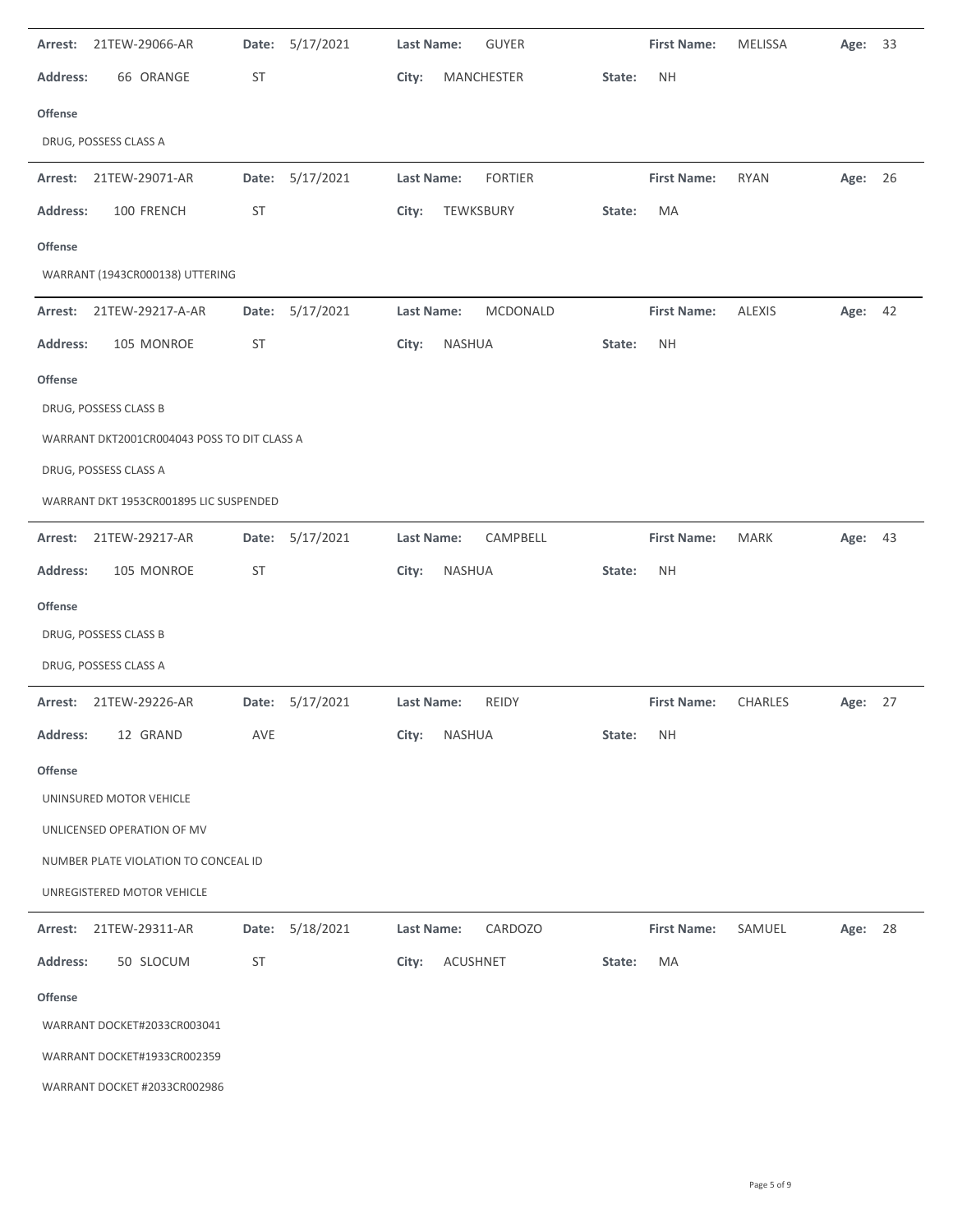| 21TEW-29066-AR<br>Arrest:                   | Date:     | 5/17/2021       | Last Name:               | <b>GUYER</b>   | <b>First Name:</b> | <b>MELISSA</b> | Age:    | 33 |
|---------------------------------------------|-----------|-----------------|--------------------------|----------------|--------------------|----------------|---------|----|
| <b>Address:</b><br>66 ORANGE                | ST        |                 | City:<br>MANCHESTER      | State:         | <b>NH</b>          |                |         |    |
| Offense                                     |           |                 |                          |                |                    |                |         |    |
| DRUG, POSSESS CLASS A                       |           |                 |                          |                |                    |                |         |    |
| Arrest: 21TEW-29071-AR                      |           | Date: 5/17/2021 | Last Name:               | <b>FORTIER</b> | <b>First Name:</b> | <b>RYAN</b>    | Age:    | 26 |
| <b>Address:</b><br>100 FRENCH               | ST        |                 | City:<br>TEWKSBURY       | State:         | MA                 |                |         |    |
| Offense                                     |           |                 |                          |                |                    |                |         |    |
| WARRANT (1943CR000138) UTTERING             |           |                 |                          |                |                    |                |         |    |
| Arrest:<br>21TEW-29217-A-AR                 | Date:     | 5/17/2021       | Last Name:               | MCDONALD       | <b>First Name:</b> | <b>ALEXIS</b>  | Age: 42 |    |
| 105 MONROE<br><b>Address:</b>               | ST        |                 | NASHUA<br>City:          | State:         | <b>NH</b>          |                |         |    |
| Offense                                     |           |                 |                          |                |                    |                |         |    |
| DRUG, POSSESS CLASS B                       |           |                 |                          |                |                    |                |         |    |
| WARRANT DKT2001CR004043 POSS TO DIT CLASS A |           |                 |                          |                |                    |                |         |    |
| DRUG, POSSESS CLASS A                       |           |                 |                          |                |                    |                |         |    |
| WARRANT DKT 1953CR001895 LIC SUSPENDED      |           |                 |                          |                |                    |                |         |    |
| Arrest:<br>21TEW-29217-AR                   | Date:     | 5/17/2021       | Last Name:               | CAMPBELL       | <b>First Name:</b> | <b>MARK</b>    | Age: 43 |    |
| 105 MONROE<br><b>Address:</b>               | ST        |                 | NASHUA<br>City:          | State:         | <b>NH</b>          |                |         |    |
| Offense                                     |           |                 |                          |                |                    |                |         |    |
| DRUG, POSSESS CLASS B                       |           |                 |                          |                |                    |                |         |    |
| DRUG, POSSESS CLASS A                       |           |                 |                          |                |                    |                |         |    |
| 21TEW-29226-AR<br>Arrest:                   | Date:     | 5/17/2021       | Last Name:<br>REIDY      |                | <b>First Name:</b> | <b>CHARLES</b> | Age:    | 27 |
| Address:<br>12 GRAND                        | AVE       |                 | City:<br>NASHUA          | State:         | <b>NH</b>          |                |         |    |
| Offense                                     |           |                 |                          |                |                    |                |         |    |
| UNINSURED MOTOR VEHICLE                     |           |                 |                          |                |                    |                |         |    |
| UNLICENSED OPERATION OF MV                  |           |                 |                          |                |                    |                |         |    |
| NUMBER PLATE VIOLATION TO CONCEAL ID        |           |                 |                          |                |                    |                |         |    |
| UNREGISTERED MOTOR VEHICLE                  |           |                 |                          |                |                    |                |         |    |
| 21TEW-29311-AR<br>Arrest:                   | Date:     | 5/18/2021       | Last Name:               | CARDOZO        | <b>First Name:</b> | SAMUEL         | Age: 28 |    |
| <b>Address:</b><br>50 SLOCUM                | <b>ST</b> |                 | City:<br><b>ACUSHNET</b> | State:         | MA                 |                |         |    |
| Offense                                     |           |                 |                          |                |                    |                |         |    |
| WARRANT DOCKET#2033CR003041                 |           |                 |                          |                |                    |                |         |    |
| WARRANT DOCKET#1933CR002359                 |           |                 |                          |                |                    |                |         |    |
| WARRANT DOCKET #2033CR002986                |           |                 |                          |                |                    |                |         |    |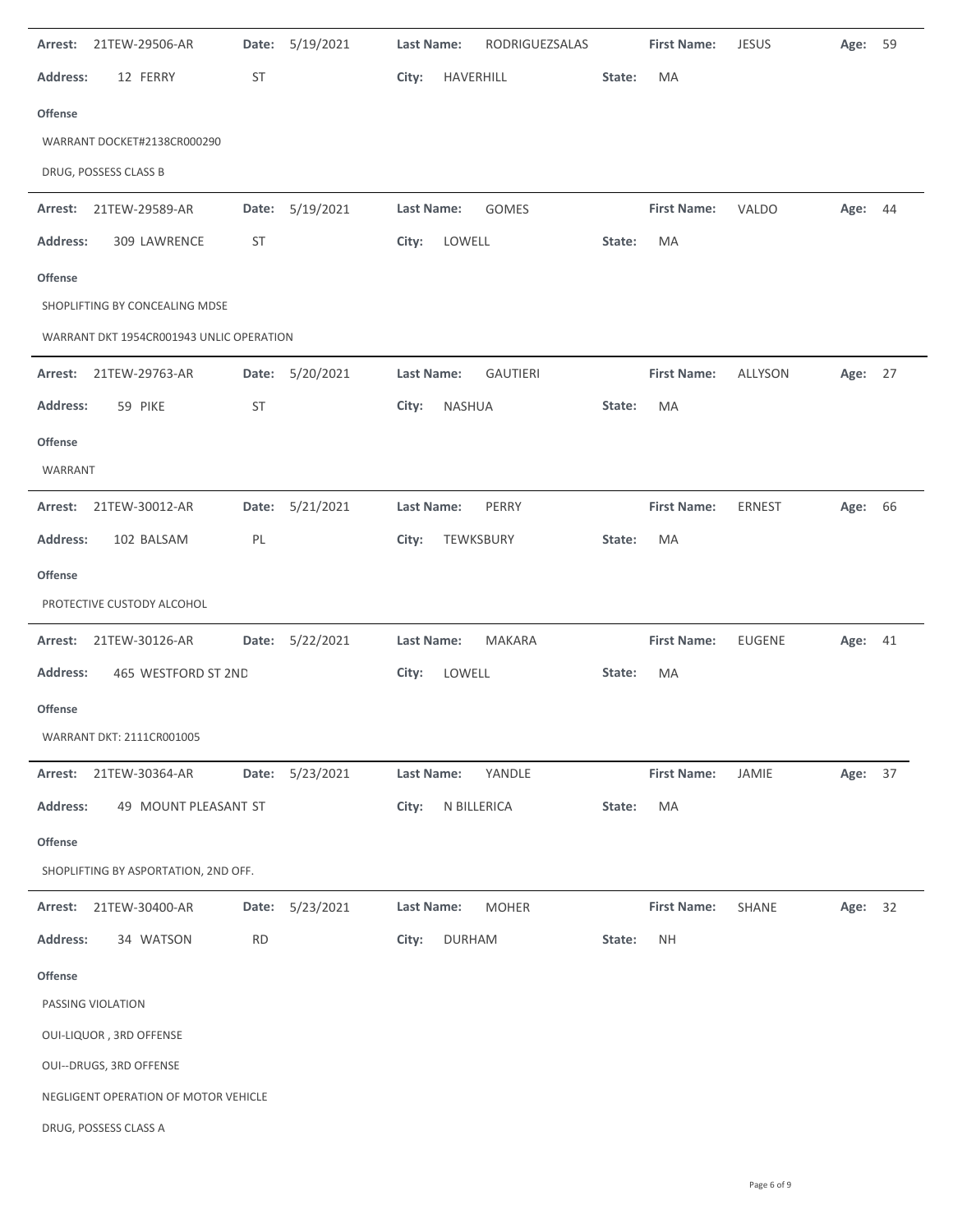| Arrest:                                  | 21TEW-29506-AR                                                  | Date:     | 5/19/2021       | Last Name:        |               | RODRIGUEZSALAS  |        | <b>First Name:</b> | <b>JESUS</b> | Age:    | 59   |
|------------------------------------------|-----------------------------------------------------------------|-----------|-----------------|-------------------|---------------|-----------------|--------|--------------------|--------------|---------|------|
| <b>Address:</b>                          | 12 FERRY                                                        | <b>ST</b> |                 | City:             | HAVERHILL     |                 | State: | MA                 |              |         |      |
| <b>Offense</b>                           |                                                                 |           |                 |                   |               |                 |        |                    |              |         |      |
|                                          | WARRANT DOCKET#2138CR000290                                     |           |                 |                   |               |                 |        |                    |              |         |      |
|                                          | DRUG, POSSESS CLASS B                                           |           |                 |                   |               |                 |        |                    |              |         |      |
| Arrest:                                  | 21TEW-29589-AR                                                  | Date:     | 5/19/2021       | Last Name:        |               | <b>GOMES</b>    |        | <b>First Name:</b> | <b>VALDO</b> | Age:    | - 44 |
| <b>Address:</b>                          | 309 LAWRENCE                                                    | ST        |                 | City:             | LOWELL        |                 | State: | MA                 |              |         |      |
| <b>Offense</b>                           |                                                                 |           |                 |                   |               |                 |        |                    |              |         |      |
|                                          | SHOPLIFTING BY CONCEALING MDSE                                  |           |                 |                   |               |                 |        |                    |              |         |      |
| WARRANT DKT 1954CR001943 UNLIC OPERATION |                                                                 |           |                 |                   |               |                 |        |                    |              |         |      |
| Arrest:                                  | 21TEW-29763-AR                                                  | Date:     | 5/20/2021       | Last Name:        |               | <b>GAUTIERI</b> |        | <b>First Name:</b> | ALLYSON      | Age: 27 |      |
| <b>Address:</b>                          | 59 PIKE                                                         | <b>ST</b> |                 | City:             | NASHUA        |                 | State: | MA                 |              |         |      |
| <b>Offense</b>                           |                                                                 |           |                 |                   |               |                 |        |                    |              |         |      |
| WARRANT                                  |                                                                 |           |                 |                   |               |                 |        |                    |              |         |      |
| Arrest:                                  | 21TEW-30012-AR                                                  | Date:     | 5/21/2021       | Last Name:        |               | PERRY           |        | <b>First Name:</b> | ERNEST       | Age: 66 |      |
| <b>Address:</b>                          | 102 BALSAM                                                      | PL        |                 | City:             | TEWKSBURY     |                 | State: | MA                 |              |         |      |
| <b>Offense</b>                           |                                                                 |           |                 |                   |               |                 |        |                    |              |         |      |
|                                          | PROTECTIVE CUSTODY ALCOHOL                                      |           |                 |                   |               |                 |        |                    |              |         |      |
|                                          | Arrest: 21TEW-30126-AR                                          |           | Date: 5/22/2021 | Last Name:        |               | MAKARA          |        | <b>First Name:</b> | EUGENE       | Age: 41 |      |
| <b>Address:</b>                          | 465 WESTFORD ST 2ND                                             |           |                 | City:             | LOWELL        |                 | State: | MA                 |              |         |      |
| <b>Offense</b>                           |                                                                 |           |                 |                   |               |                 |        |                    |              |         |      |
|                                          | WARRANT DKT: 2111CR001005                                       |           |                 |                   |               |                 |        |                    |              |         |      |
| Arrest:                                  | 21TEW-30364-AR                                                  | Date:     | 5/23/2021       | <b>Last Name:</b> |               | YANDLE          |        | <b>First Name:</b> | JAMIE        | Age: 37 |      |
| <b>Address:</b>                          | 49 MOUNT PLEASANT ST                                            |           |                 | City:             | N BILLERICA   |                 | State: | MA                 |              |         |      |
| <b>Offense</b>                           |                                                                 |           |                 |                   |               |                 |        |                    |              |         |      |
|                                          | SHOPLIFTING BY ASPORTATION, 2ND OFF.                            |           |                 |                   |               |                 |        |                    |              |         |      |
| Arrest:                                  | 21TEW-30400-AR                                                  | Date:     | 5/23/2021       | Last Name:        |               | <b>MOHER</b>    |        | <b>First Name:</b> | SHANE        | Age:    | 32   |
| Address:                                 | 34 WATSON                                                       | <b>RD</b> |                 | City:             | <b>DURHAM</b> |                 | State: | <b>NH</b>          |              |         |      |
| Offense                                  | PASSING VIOLATION                                               |           |                 |                   |               |                 |        |                    |              |         |      |
|                                          | OUI-LIQUOR, 3RD OFFENSE                                         |           |                 |                   |               |                 |        |                    |              |         |      |
|                                          |                                                                 |           |                 |                   |               |                 |        |                    |              |         |      |
|                                          | OUI--DRUGS, 3RD OFFENSE<br>NEGLIGENT OPERATION OF MOTOR VEHICLE |           |                 |                   |               |                 |        |                    |              |         |      |
|                                          | DRUG, POSSESS CLASS A                                           |           |                 |                   |               |                 |        |                    |              |         |      |
|                                          |                                                                 |           |                 |                   |               |                 |        |                    |              |         |      |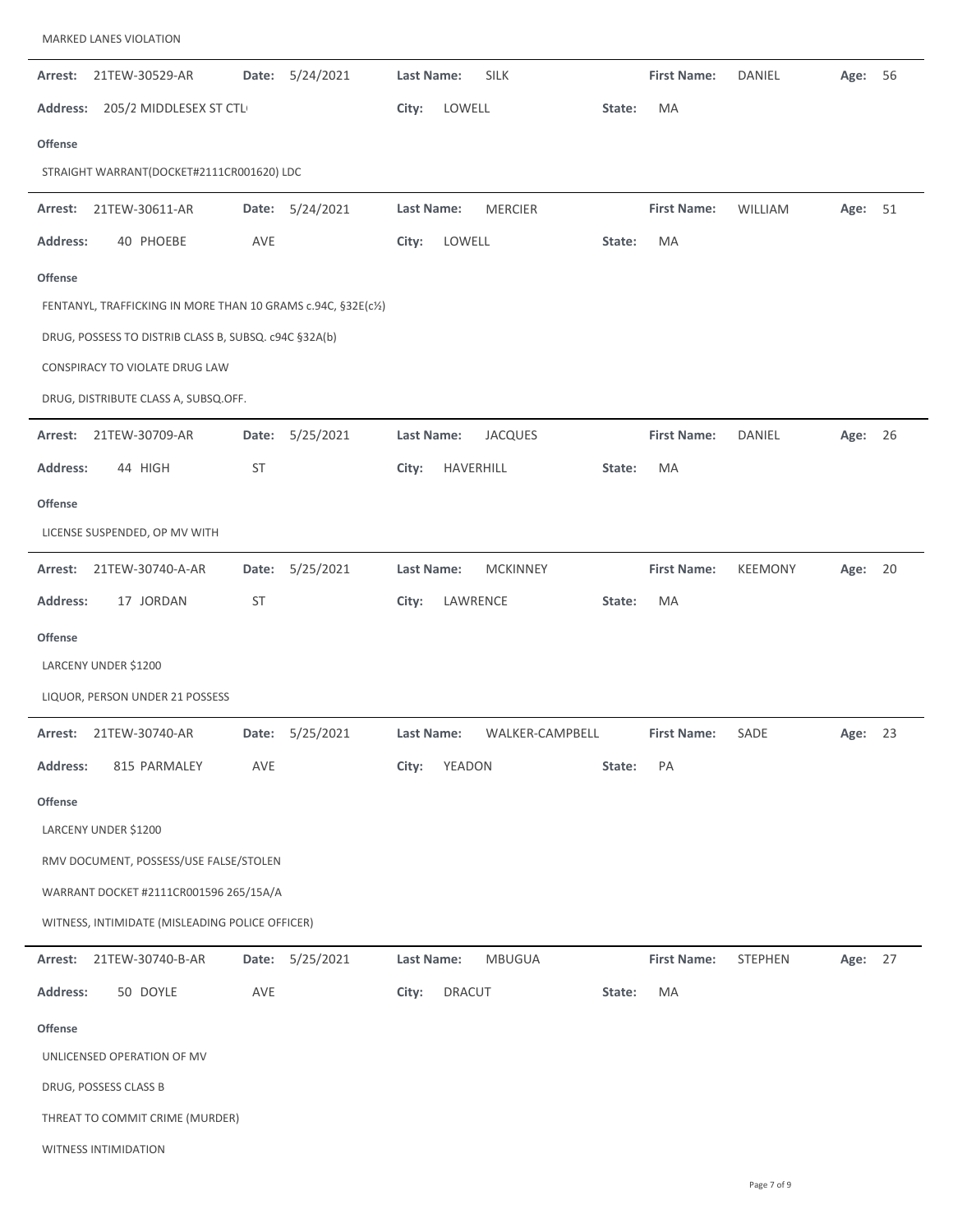| Arrest:                                               | 21TEW-30529-AR                                                | Date:     | 5/24/2021       | Last Name: |           | <b>SILK</b>     |        | <b>First Name:</b> | <b>DANIEL</b>  | Age:    | 56 |
|-------------------------------------------------------|---------------------------------------------------------------|-----------|-----------------|------------|-----------|-----------------|--------|--------------------|----------------|---------|----|
| <b>Address:</b>                                       | 205/2 MIDDLESEX ST CTL                                        |           |                 | City:      | LOWELL    |                 | State: | MA                 |                |         |    |
| <b>Offense</b>                                        |                                                               |           |                 |            |           |                 |        |                    |                |         |    |
|                                                       | STRAIGHT WARRANT(DOCKET#2111CR001620) LDC                     |           |                 |            |           |                 |        |                    |                |         |    |
| Arrest:                                               | 21TEW-30611-AR                                                | Date:     | 5/24/2021       | Last Name: |           | <b>MERCIER</b>  |        | <b>First Name:</b> | WILLIAM        | Age:    | 51 |
| <b>Address:</b>                                       | 40 PHOEBE                                                     | AVE       |                 | City:      | LOWELL    |                 | State: | MA                 |                |         |    |
| <b>Offense</b>                                        |                                                               |           |                 |            |           |                 |        |                    |                |         |    |
|                                                       | FENTANYL, TRAFFICKING IN MORE THAN 10 GRAMS c.94C, §32E(c1/2) |           |                 |            |           |                 |        |                    |                |         |    |
| DRUG, POSSESS TO DISTRIB CLASS B, SUBSQ. c94C §32A(b) |                                                               |           |                 |            |           |                 |        |                    |                |         |    |
|                                                       | CONSPIRACY TO VIOLATE DRUG LAW                                |           |                 |            |           |                 |        |                    |                |         |    |
|                                                       | DRUG, DISTRIBUTE CLASS A, SUBSQ.OFF.                          |           |                 |            |           |                 |        |                    |                |         |    |
| Arrest:                                               | 21TEW-30709-AR                                                | Date:     | 5/25/2021       | Last Name: |           | <b>JACQUES</b>  |        | <b>First Name:</b> | DANIEL         | Age:    | 26 |
| <b>Address:</b>                                       | 44 HIGH                                                       | ST        |                 | City:      | HAVERHILL |                 | State: | MA                 |                |         |    |
| <b>Offense</b>                                        |                                                               |           |                 |            |           |                 |        |                    |                |         |    |
|                                                       | LICENSE SUSPENDED, OP MV WITH                                 |           |                 |            |           |                 |        |                    |                |         |    |
| Arrest:                                               | 21TEW-30740-A-AR                                              | Date:     | 5/25/2021       | Last Name: |           | <b>MCKINNEY</b> |        | <b>First Name:</b> | <b>KEEMONY</b> | Age:    | 20 |
| <b>Address:</b>                                       | 17 JORDAN                                                     | <b>ST</b> |                 | City:      | LAWRENCE  |                 | State: | МA                 |                |         |    |
| <b>Offense</b>                                        |                                                               |           |                 |            |           |                 |        |                    |                |         |    |
|                                                       | LARCENY UNDER \$1200                                          |           |                 |            |           |                 |        |                    |                |         |    |
|                                                       | LIQUOR, PERSON UNDER 21 POSSESS                               |           |                 |            |           |                 |        |                    |                |         |    |
| Arrest:                                               | 21TEW-30740-AR                                                |           | Date: 5/25/2021 | Last Name: |           | WALKER-CAMPBELL |        | <b>First Name:</b> | SADE           | Age: 23 |    |
| <b>Address:</b>                                       | 815 PARMALEY                                                  | AVE       |                 | City:      | YEADON    |                 | State: | PA                 |                |         |    |
| <b>Offense</b>                                        |                                                               |           |                 |            |           |                 |        |                    |                |         |    |
|                                                       | LARCENY UNDER \$1200                                          |           |                 |            |           |                 |        |                    |                |         |    |
|                                                       | RMV DOCUMENT, POSSESS/USE FALSE/STOLEN                        |           |                 |            |           |                 |        |                    |                |         |    |
|                                                       | WARRANT DOCKET #2111CR001596 265/15A/A                        |           |                 |            |           |                 |        |                    |                |         |    |
|                                                       | WITNESS, INTIMIDATE (MISLEADING POLICE OFFICER)               |           |                 |            |           |                 |        |                    |                |         |    |
| Arrest:                                               | 21TEW-30740-B-AR                                              |           | Date: 5/25/2021 | Last Name: |           | <b>MBUGUA</b>   |        | <b>First Name:</b> | STEPHEN        | Age: 27 |    |
| <b>Address:</b>                                       | 50 DOYLE                                                      | AVE       |                 | City:      | DRACUT    |                 | State: | MA                 |                |         |    |
| <b>Offense</b>                                        |                                                               |           |                 |            |           |                 |        |                    |                |         |    |
|                                                       | UNLICENSED OPERATION OF MV                                    |           |                 |            |           |                 |        |                    |                |         |    |
|                                                       | DRUG, POSSESS CLASS B                                         |           |                 |            |           |                 |        |                    |                |         |    |
|                                                       | THREAT TO COMMIT CRIME (MURDER)                               |           |                 |            |           |                 |        |                    |                |         |    |
|                                                       | <b>WITNESS INTIMIDATION</b>                                   |           |                 |            |           |                 |        |                    |                |         |    |

MARKED LANES VIOLATION

 $\overline{a}$ 

 $\overline{\phantom{a}}$ 

 $\overline{a}$ 

 $\ddot{\phantom{a}}$ 

 $\ddot{\phantom{a}}$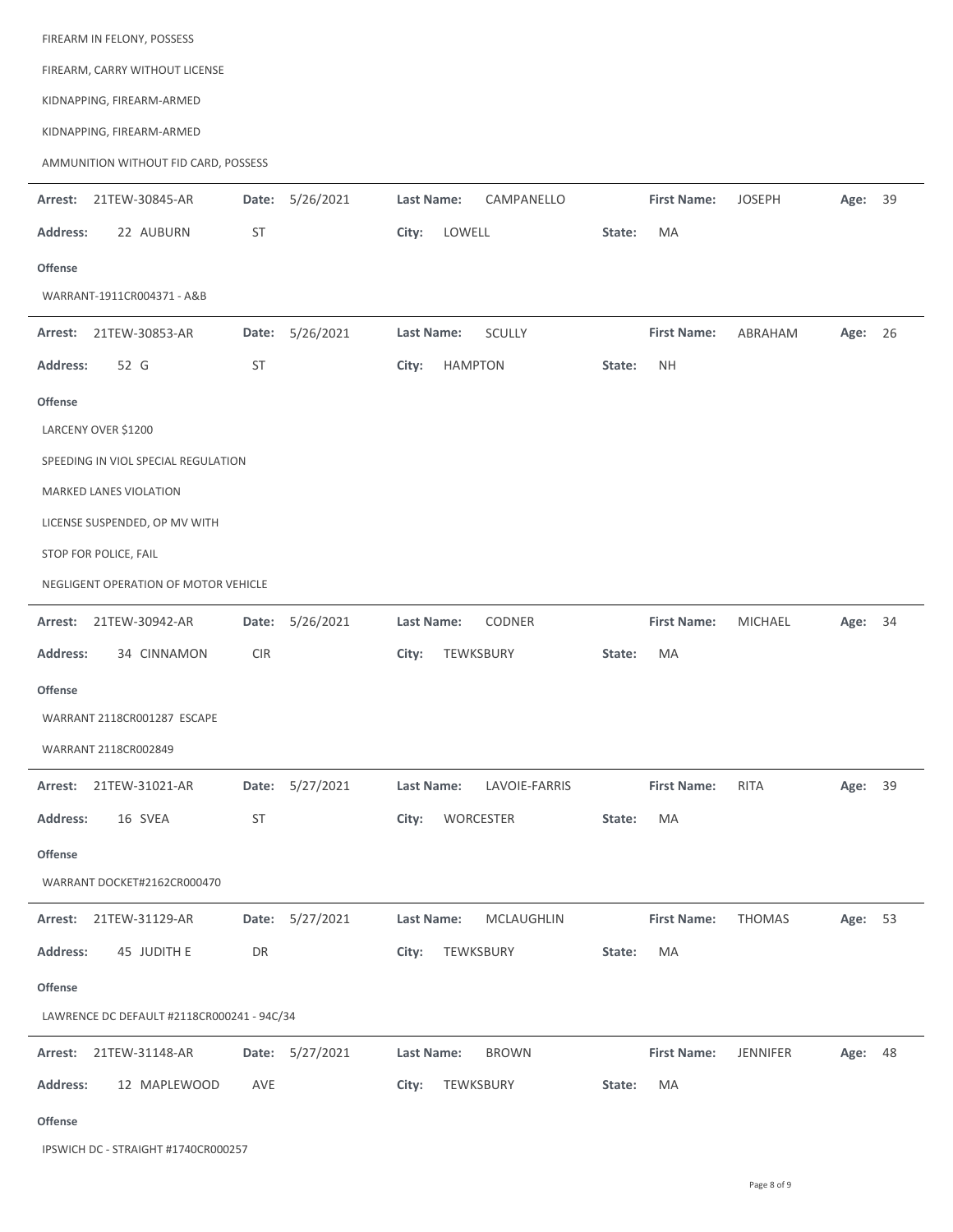| FIREARM IN FELONY, POSSESS           |                 |                         |                |        |                    |                |         |  |
|--------------------------------------|-----------------|-------------------------|----------------|--------|--------------------|----------------|---------|--|
| FIREARM, CARRY WITHOUT LICENSE       |                 |                         |                |        |                    |                |         |  |
| KIDNAPPING, FIREARM-ARMED            |                 |                         |                |        |                    |                |         |  |
| KIDNAPPING, FIREARM-ARMED            |                 |                         |                |        |                    |                |         |  |
| AMMUNITION WITHOUT FID CARD, POSSESS |                 |                         |                |        |                    |                |         |  |
| Arrest: 21TEW-30845-AR               | Date: 5/26/2021 | Last Name:              | CAMPANELLO     |        | <b>First Name:</b> | <b>JOSEPH</b>  | Age: 39 |  |
| <b>Address:</b><br>22 AUBURN         | ST              | City:                   | LOWELL         | State: | <b>MA</b>          |                |         |  |
| <b>Offense</b>                       |                 |                         |                |        |                    |                |         |  |
| WARRANT-1911CR004371 - A&B           |                 |                         |                |        |                    |                |         |  |
| Arrest: 21TEW-30853-AR               | Date: 5/26/2021 | Last Name:              | <b>SCULLY</b>  |        | <b>First Name:</b> | ABRAHAM        | Age: 26 |  |
| <b>Address:</b><br>52 G              | ST              | City:                   | <b>HAMPTON</b> | State: | <b>NH</b>          |                |         |  |
| <b>Offense</b>                       |                 |                         |                |        |                    |                |         |  |
| LARCENY OVER \$1200                  |                 |                         |                |        |                    |                |         |  |
| SPEEDING IN VIOL SPECIAL REGULATION  |                 |                         |                |        |                    |                |         |  |
| MARKED LANES VIOLATION               |                 |                         |                |        |                    |                |         |  |
| LICENSE SUSPENDED, OP MV WITH        |                 |                         |                |        |                    |                |         |  |
| STOP FOR POLICE, FAIL                |                 |                         |                |        |                    |                |         |  |
| NEGLIGENT OPERATION OF MOTOR VEHICLE |                 |                         |                |        |                    |                |         |  |
| Arrest:<br>21TEW-30942-AR            | Date:           | 5/26/2021<br>Last Name: | <b>CODNER</b>  |        | <b>First Name:</b> | <b>MICHAEL</b> | Age: 34 |  |
| <b>Address:</b><br>34 CINNAMON       | <b>CIR</b>      | City:                   | TEWKSBURY      | State: | <b>MA</b>          |                |         |  |
| <b>Offense</b>                       |                 |                         |                |        |                    |                |         |  |
| WARRANT 2118CR001287 ESCAPE          |                 |                         |                |        |                    |                |         |  |
| WARRANT 2118CR002849                 |                 |                         |                |        |                    |                |         |  |
| Arrest: 21TEW-31021-AR               | Date: 5/27/2021 | <b>Last Name:</b>       | LAVOIE-FARRIS  |        | <b>First Name:</b> | <b>RITA</b>    | Age: 39 |  |
| Address:<br>16 SVEA                  | ST              | City:                   | WORCESTER      | State: | MA                 |                |         |  |
| Offense                              |                 |                         |                |        |                    |                |         |  |
| WARRANT DOCKET#2162CR000470          |                 |                         |                |        |                    |                |         |  |
| Arrest: 21TEW-31129-AR               | Date: 5/27/2021 | Last Name:              | MCLAUGHLIN     |        | <b>First Name:</b> | <b>THOMAS</b>  | Age: 53 |  |
| Address:<br>45 JUDITH E              | DR              | City:                   | TEWKSBURY      | State: | MA                 |                |         |  |

**Offense**

LAWRENCE DC DEFAULT #2118CR000241 ‐ 94C/34

|          | Arrest: 21TEW-31148-AR |     | Date: 5/27/2021 | Last Name: | <b>BROWN</b>    |        | <b>First Name: JENNIFER</b> | Age: 48 |  |
|----------|------------------------|-----|-----------------|------------|-----------------|--------|-----------------------------|---------|--|
| Address: | 12 MAPLEWOOD           | AVE |                 |            | City: TEWKSBURY | State: | MA                          |         |  |

**Offense**

IPSWICH DC ‐ STRAIGHT #1740CR000257